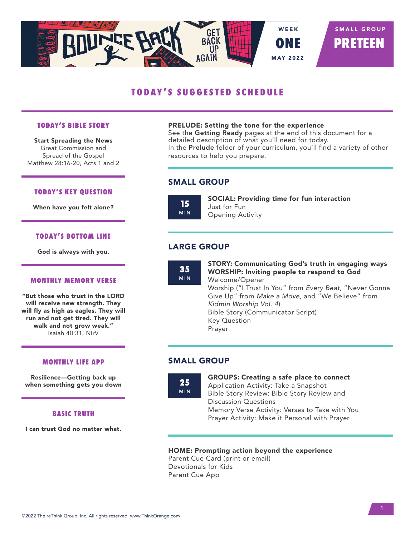

# **TODAY'S SUGGESTED SCHEDULE**

#### **TODAY'S BIBLE STORY**

Start Spreading the News Great Commission and Spread of the Gospel Matthew 28:16-20, Acts 1 and 2

#### **TODAY'S KEY QUESTION**

When have you felt alone?

#### **TODAY'S BOTTOM LINE**

God is always with you.

#### **MONTHLY MEMORY VERSE**

"But those who trust in the LORD will receive new strength. They will fly as high as eagles. They will run and not get tired. They will walk and not grow weak." Isaiah 40:31, NIrV

#### **MONTHLY LIFE APP**

Resilience—Getting back up when something gets you down

#### **BASIC TRUTH**

I can trust God no matter what.

#### PRELUDE: Setting the tone for the experience

See the Getting Ready pages at the end of this document for a detailed description of what you'll need for today. In the Prelude folder of your curriculum, you'll find a variety of other resources to help you prepare.

# SMALL GROUP



SOCIAL: Providing time for fun interaction Just for Fun Opening Activity

# LARGE GROUP

**35** MIN STORY: Communicating God's truth in engaging ways WORSHIP: Inviting people to respond to God Welcome/Opener Worship ("I Trust In You" from *Every Beat*, "Never Gonna Give Up" from *Make a Move*, and "We Believe" from *Kidmin Worship Vol. 4*) Bible Story (Communicator Script) Key Question Prayer

### SMALL GROUP

**25** MIN GROUPS: Creating a safe place to connect Application Activity: Take a Snapshot Bible Story Review: Bible Story Review and Discussion Questions Memory Verse Activity: Verses to Take with You Prayer Activity: Make it Personal with Prayer

#### HOME: Prompting action beyond the experience

Parent Cue Card (print or email) Devotionals for Kids Parent Cue App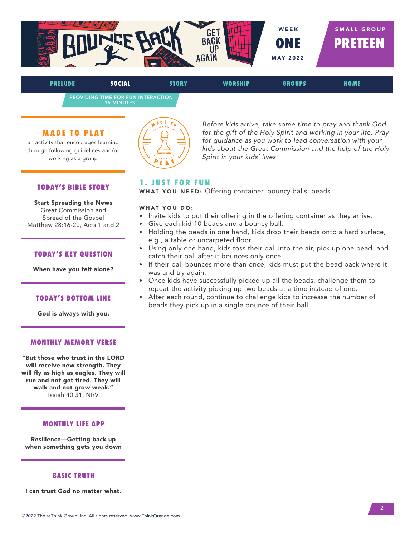

PROVIDING TIME FOR FUN INTERACTION 15 MINUTES

#### **MADE TO PLAY**

an activity that encourages learning through following guidelines and/or working as a group



*Before kids arrive, take some time to pray and thank God for the gift of the Holy Spirit and working in your life. Pray for guidance as you work to lead conversation with your kids about the Great Commission and the help of the Holy Spirit in your kids' lives.*

#### **TODAY'S BIBLE STORY**

Start Spreading the News Great Commission and Spread of the Gospel Matthew 28:16-20, Acts 1 and 2

#### **TODAY'S KEY QUESTION**

When have you felt alone?

#### **TODAY'S BOTTOM LINE**

God is always with you.

#### **MONTHLY MEMORY VERSE**

"But those who trust in the LORD will receive new strength. They will fly as high as eagles. They will run and not get tired. They will walk and not grow weak." Isaiah 40:31, NIrV

#### **MONTHLY LIFE APP**

Resilience—Getting back up when something gets you down

#### **BASIC TRUTH**

I can trust God no matter what.

# **1. JUST FOR FUN**

WHAT YOU NEED: Offering container, bouncy balls, beads

- Invite kids to put their offering in the offering container as they arrive.
- Give each kid 10 beads and a bouncy ball.
- Holding the beads in one hand, kids drop their beads onto a hard surface, e.g., a table or uncarpeted floor.
- Using only one hand, kids toss their ball into the air, pick up one bead, and catch their ball after it bounces only once.
- If their ball bounces more than once, kids must put the bead back where it was and try again.
- Once kids have successfully picked up all the beads, challenge them to repeat the activity picking up two beads at a time instead of one.
- After each round, continue to challenge kids to increase the number of beads they pick up in a single bounce of their ball.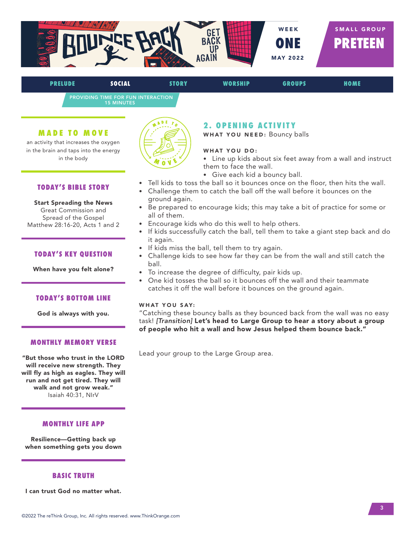

PROVIDING TIME FOR FUN INTERACTION 15 MINUTES

#### **MADE TO MOVE**

an activity that increases the oxygen in the brain and taps into the energy in the body

#### **TODAY'S BIBLE STORY**

Start Spreading the News Great Commission and Spread of the Gospel Matthew 28:16-20, Acts 1 and 2

#### **TODAY'S KEY QUESTION**

When have you felt alone?

#### **TODAY'S BOTTOM LINE**

God is always with you.

#### **MONTHLY MEMORY VERSE**

"But those who trust in the LORD will receive new strength. They will fly as high as eagles. They will run and not get tired. They will walk and not grow weak." Isaiah 40:31, NIrV

#### **MONTHLY LIFE APP**

Resilience—Getting back up when something gets you down

#### **BASIC TRUTH**

I can trust God no matter what.



#### **2. OPENING ACTIVITY**

WHAT YOU NEED: Bouncy balls

#### WHAT YOU DO:

• Line up kids about six feet away from a wall and instruct them to face the wall.

- Give each kid a bouncy ball.
- Tell kids to toss the ball so it bounces once on the floor, then hits the wall.
- Challenge them to catch the ball off the wall before it bounces on the ground again.
- Be prepared to encourage kids; this may take a bit of practice for some or all of them.
- Encourage kids who do this well to help others.
- If kids successfully catch the ball, tell them to take a giant step back and do it again.
- If kids miss the ball, tell them to try again.
- Challenge kids to see how far they can be from the wall and still catch the ball.
- To increase the degree of difficulty, pair kids up.
- One kid tosses the ball so it bounces off the wall and their teammate catches it off the wall before it bounces on the ground again.

#### WHAT YOU SAY:

"Catching these bouncy balls as they bounced back from the wall was no easy task! *[Transition]* Let's head to Large Group to hear a story about a group of people who hit a wall and how Jesus helped them bounce back."

Lead your group to the Large Group area.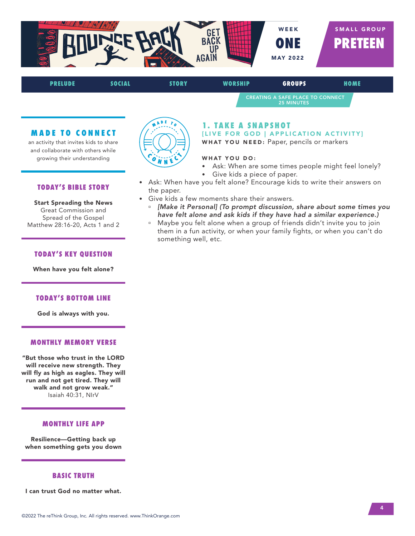

CREATING A SAFE PLACE TO CONNECT 25 MINUTES

#### **MADE TO CONNECT**

an activity that invites kids to share and collaborate with others while growing their understanding

#### **TODAY'S BIBLE STORY**

Start Spreading the News Great Commission and Spread of the Gospel Matthew 28:16-20, Acts 1 and 2

#### **TODAY'S KEY QUESTION**

When have you felt alone?

#### **TODAY'S BOTTOM LINE**

God is always with you.

#### **MONTHLY MEMORY VERSE**

"But those who trust in the LORD will receive new strength. They will fly as high as eagles. They will run and not get tired. They will walk and not grow weak." Isaiah 40:31, NIrV

#### **MONTHLY LIFE APP**

Resilience—Getting back up when something gets you down

#### **BASIC TRUTH**

I can trust God no matter what.



### **1. TAKE A SNAPSHOT**

[LIVE FOR GOD | APPLICATION ACTIVITY]

WHAT YOU NEED: Paper, pencils or markers

- Ask: When are some times people might feel lonely?
- Give kids a piece of paper.
- Ask: When have you felt alone? Encourage kids to write their answers on the paper.
- Give kids a few moments share their answers.
	- ú *[Make it Personal] (To prompt discussion, share about some times you have felt alone and ask kids if they have had a similar experience.)*
	- <sup>n</sup> Maybe you felt alone when a group of friends didn't invite you to join them in a fun activity, or when your family fights, or when you can't do something well, etc.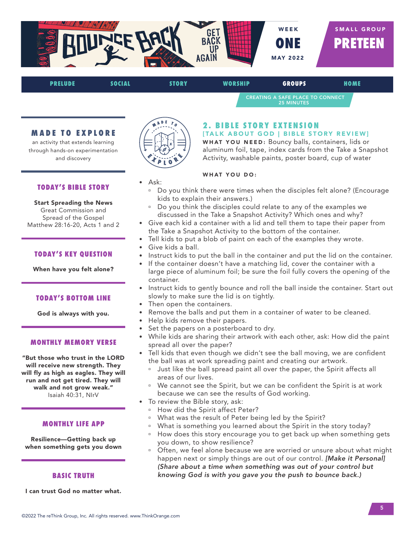

CREATING A SAFE PLACE TO CONNECT

#### **MADE TO EXPLORE**

an activity that extends learning through hands-on experimentation and discovery

#### **TODAY'S BIBLE STORY**

#### Start Spreading the News Great Commission and Spread of the Gospel Matthew 28:16-20, Acts 1 and 2

#### **TODAY'S KEY QUESTION**

When have you felt alone?

#### **TODAY'S BOTTOM LINE**

God is always with you.

#### **MONTHLY MEMORY VERSE**

"But those who trust in the LORD will receive new strength. They will fly as high as eagles. They will run and not get tired. They will walk and not grow weak." Isaiah 40:31, NIrV

#### **MONTHLY LIFE APP**

Resilience—Getting back up when something gets you down

#### **BASIC TRUTH**

I can trust God no matter what.



• Ask:

# **2. BIBLE STORY EXTENSION**

[TALK ABOUT GOD | BIBLE STORY REVIEW] WHAT YOU NEED: Bouncy balls, containers, lids or

aluminum foil, tape, index cards from the Take a Snapshot Activity, washable paints, poster board, cup of water

25 MINUTES

- ú Do you think there were times when the disciples felt alone? (Encourage kids to explain their answers.)
- Do you think the disciples could relate to any of the examples we discussed in the Take a Snapshot Activity? Which ones and why?
- Give each kid a container with a lid and tell them to tape their paper from the Take a Snapshot Activity to the bottom of the container.
- Tell kids to put a blob of paint on each of the examples they wrote.
- Give kids a ball.
- Instruct kids to put the ball in the container and put the lid on the container.
- If the container doesn't have a matching lid, cover the container with a large piece of aluminum foil; be sure the foil fully covers the opening of the container.
- Instruct kids to gently bounce and roll the ball inside the container. Start out slowly to make sure the lid is on tightly.
- Then open the containers.
- Remove the balls and put them in a container of water to be cleaned.
- Help kids remove their papers.
- Set the papers on a posterboard to dry.
- While kids are sharing their artwork with each other, ask: How did the paint spread all over the paper?
- Tell kids that even though we didn't see the ball moving, we are confident the ball was at work spreading paint and creating our artwork.
	- <sup>o</sup> Just like the ball spread paint all over the paper, the Spirit affects all areas of our lives.
	- <sup>n</sup> We cannot see the Spirit, but we can be confident the Spirit is at work because we can see the results of God working.
- To review the Bible story, ask:
	- <sup>D</sup> How did the Spirit affect Peter?
	- <sup>o</sup> What was the result of Peter being led by the Spirit?
	- <sup>n</sup> What is something you learned about the Spirit in the story today?
	- <sup>n</sup> How does this story encourage you to get back up when something gets you down, to show resilience?
	- Often, we feel alone because we are worried or unsure about what might happen next or simply things are out of our control. *[Make it Personal] (Share about a time when something was out of your control but knowing God is with you gave you the push to bounce back.)*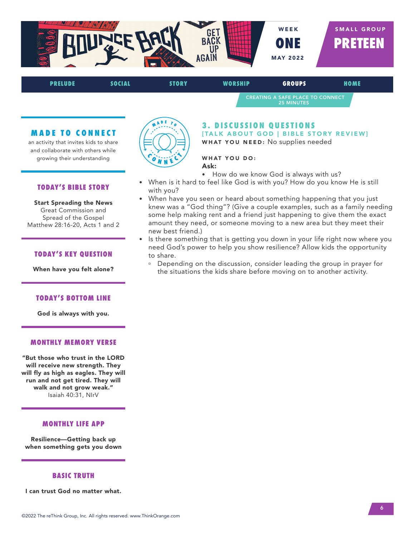

CREATING A SAFE PLACE TO CONNECT 25 MINUTES

#### **MADE TO CONNECT**

an activity that invites kids to share and collaborate with others while growing their understanding

#### **TODAY'S BIBLE STORY**

Start Spreading the News Great Commission and Spread of the Gospel Matthew 28:16-20, Acts 1 and 2

#### **TODAY'S KEY QUESTION**

When have you felt alone?

#### **TODAY'S BOTTOM LINE**

God is always with you.

#### **MONTHLY MEMORY VERSE**

"But those who trust in the LORD will receive new strength. They will fly as high as eagles. They will run and not get tired. They will walk and not grow weak." Isaiah 40:31, NIrV

#### **MONTHLY LIFE APP**

Resilience—Getting back up when something gets you down

#### **BASIC TRUTH**

I can trust God no matter what.



#### **3. DISCUSSION OUESTIONS** [TALK ABOUT GOD | BIBLE STORY REVIEW] WHAT YOU NEED: No supplies needed

#### WHAT YOU DO:

Ask:

- How do we know God is always with us?
- When is it hard to feel like God is with you? How do you know He is still with you?
- When have you seen or heard about something happening that you just knew was a "God thing"? (Give a couple examples, such as a family needing some help making rent and a friend just happening to give them the exact amount they need, or someone moving to a new area but they meet their new best friend.)
- Is there something that is getting you down in your life right now where you need God's power to help you show resilience? Allow kids the opportunity to share.
	- **Depending on the discussion, consider leading the group in prayer for** the situations the kids share before moving on to another activity.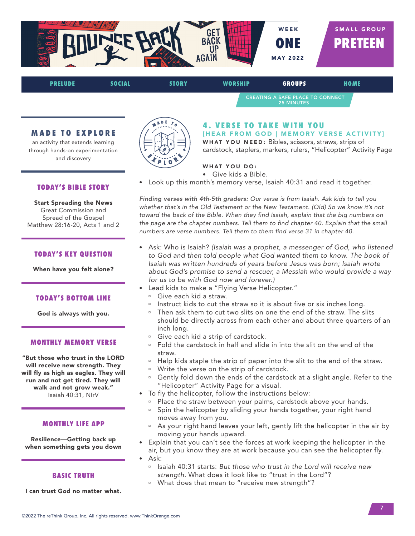

CREATING A SAFE PLACE TO CONNECT 25 MINUTES

### **MADE TO EXPLORE**

an activity that extends learning through hands-on experimentation and discovery

#### **TODAY'S BIBLE STORY**

Start Spreading the News Great Commission and Spread of the Gospel Matthew 28:16-20, Acts 1 and 2

#### **TODAY'S KEY QUESTION**

When have you felt alone?

#### **TODAY'S BOTTOM LINE**

God is always with you.

#### **MONTHLY MEMORY VERSE**

"But those who trust in the LORD will receive new strength. They will fly as high as eagles. They will run and not get tired. They will walk and not grow weak." Isaiah 40:31, NIrV

#### **MONTHLY LIFE APP**

Resilience—Getting back up when something gets you down

#### **BASIC TRUTH**

I can trust God no matter what.



# **4. VERSE TO TAKE WITH YOU**

[HEAR FROM GOD | MEMORY VERSE ACTIVITY] WHAT YOU NEED: Bibles, scissors, straws, strips of cardstock, staplers, markers, rulers, "Helicopter" Activity Page

#### WHAT YOU DO:

- Give kids a Bible.
- Look up this month's memory verse, Isaiah 40:31 and read it together.

*Finding verses with 4th-5th graders: Our verse is from Isaiah. Ask kids to tell you whether that's in the Old Testament or the New Testament. (Old) So we know it's not toward the back of the Bible. When they find Isaiah, explain that the big numbers on the page are the chapter numbers. Tell them to find chapter 40. Explain that the small numbers are verse numbers. Tell them to them find verse 31 in chapter 40.*

- Ask: Who is Isaiah? *(Isaiah was a prophet, a messenger of God, who listened to God and then told people what God wanted them to know. The book of Isaiah was written hundreds of years before Jesus was born; Isaiah wrote about God's promise to send a rescuer, a Messiah who would provide a way for us to be with God now and forever.)*
- Lead kids to make a "Flying Verse Helicopter."
	- **E** Give each kid a straw.
	- Instruct kids to cut the straw so it is about five or six inches long.
	- Then ask them to cut two slits on one the end of the straw. The slits should be directly across from each other and about three quarters of an inch long.
	- <sup>□</sup> Give each kid a strip of cardstock.
	- ú Fold the cardstock in half and slide in into the slit on the end of the straw.
	- <sup>o</sup> Help kids staple the strip of paper into the slit to the end of the straw.
	- <sup>o</sup> Write the verse on the strip of cardstock.
	- <sup>a</sup> Gently fold down the ends of the cardstock at a slight angle. Refer to the "Helicopter" Activity Page for a visual.
- To fly the helicopter, follow the instructions below:
	- <sup>n</sup> Place the straw between your palms, cardstock above your hands.
	- <sup>n</sup> Spin the helicopter by sliding your hands together, your right hand moves away from you.
	- <sup>a</sup> As your right hand leaves your left, gently lift the helicopter in the air by moving your hands upward.
- Explain that you can't see the forces at work keeping the helicopter in the air, but you know they are at work because you can see the helicopter fly. • Ask:
	- ú Isaiah 40:31 starts: *But those who trust in the Lord will receive new strength.* What does it look like to "trust in the Lord"?
	- <sup>n</sup> What does that mean to "receive new strength"?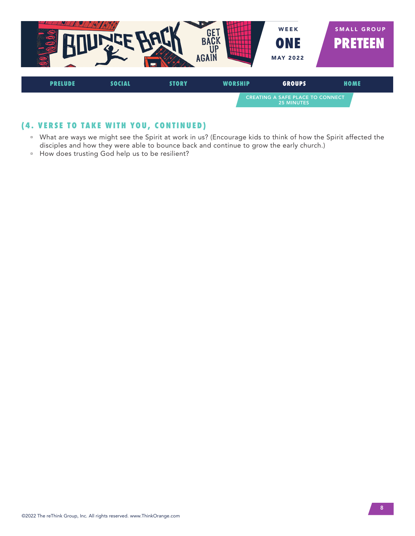

# **(4. VERSE TO TAKE WITH YOU, CONTINUED)**

- <sup>n</sup> What are ways we might see the Spirit at work in us? (Encourage kids to think of how the Spirit affected the disciples and how they were able to bounce back and continue to grow the early church.)
- <sup>n</sup> How does trusting God help us to be resilient?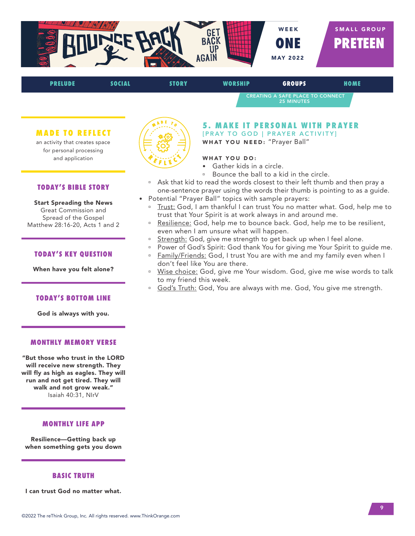

CREATING A SAFE PLACE TO CONNECT 25 MINUTES

#### **MADE TO REFLECT**

an activity that creates space for personal processing and application

#### **TODAY'S BIBLE STORY**

Start Spreading the News Great Commission and Spread of the Gospel Matthew 28:16-20, Acts 1 and 2

#### **TODAY'S KEY QUESTION**

When have you felt alone?

#### **TODAY'S BOTTOM LINE**

God is always with you.

#### **MONTHLY MEMORY VERSE**

"But those who trust in the LORD will receive new strength. They will fly as high as eagles. They will run and not get tired. They will walk and not grow weak." Isaiah 40:31, NIrV

#### **MONTHLY LIFE APP**

Resilience—Getting back up when something gets you down

#### **BASIC TRUTH**

I can trust God no matter what.



# **5. MAKE IT PERSONAL WITH PRAYER** [PRAY TO GOD | PRAYER ACTIVITY]

WHAT YOU NEED: "Prayer Ball"

- Gather kids in a circle.
- ú Bounce the ball to a kid in the circle.
- Ask that kid to read the words closest to their left thumb and then pray a one-sentence prayer using the words their thumb is pointing to as a guide.
- Potential "Prayer Ball" topics with sample prayers:
	- Trust: God, I am thankful I can trust You no matter what. God, help me to trust that Your Spirit is at work always in and around me.
	- <sup>a</sup> Resilience: God, help me to bounce back. God, help me to be resilient, even when I am unsure what will happen.
	- Strength: God, give me strength to get back up when I feel alone.
	- <sup>o</sup> Power of God's Spirit: God thank You for giving me Your Spirit to guide me.
	- Family/Friends: God, I trust You are with me and my family even when I don't feel like You are there.
	- <sup>n</sup> Wise choice: God, give me Your wisdom. God, give me wise words to talk to my friend this week.
	- <sup>o</sup> God's Truth: God, You are always with me. God, You give me strength.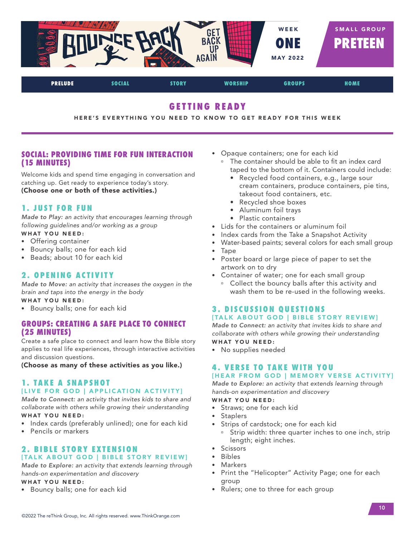

# **GETTING READY**

HERE'S EVERYTHING YOU NEED TO KNOW TO GET READY FOR THIS WEEK

### **SOCIAL: PROVIDING TIME FOR FUN INTERACTION (15 MINUTES)**

Welcome kids and spend time engaging in conversation and catching up. Get ready to experience today's story. (Choose one or both of these activities.)

### **1. JUST FOR FUN**

*Made to Play: an activity that encourages learning through following guidelines and/or working as a group*

- WHAT YOU NEED:
- Offering container
- Bouncy balls; one for each kid
- Beads; about 10 for each kid

### **2. OPENING ACTIVITY**

*Made to Move: an activity that increases the oxygen in the brain and taps into the energy in the body*

WHAT YOU NEED:

• Bouncy balls; one for each kid

### **GROUPS: CREATING A SAFE PLACE TO CONNECT (25 MINUTES)**

Create a safe place to connect and learn how the Bible story applies to real life experiences, through interactive activities and discussion questions.

(Choose as many of these activities as you like.)

# **1. TAKE A SNAPSHOT** [LIVE FOR GOD | APPLICATION ACTIVITY]

*Made to Connect: an activity that invites kids to share and collaborate with others while growing their understanding*  WHAT YOU NEED:

- Index cards (preferably unlined); one for each kid
- Pencils or markers

#### **2. BIBLE STORY EXTENSION** [TALK ABOUT GOD | BIBLE STORY REVIEW]

*Made to Explore: an activity that extends learning through hands-on experimentation and discovery*

#### WHAT YOU NEED:

• Bouncy balls; one for each kid

- Opaque containers; one for each kid
	- <sup>n</sup> The container should be able to fit an index card taped to the bottom of it. Containers could include:
		- Recycled food containers, e.g., large sour cream containers, produce containers, pie tins, takeout food containers, etc.
		- Recycled shoe boxes
		- Aluminum foil trays
		- Plastic containers
- Lids for the containers or aluminum foil
- Index cards from the Take a Snapshot Activity
- Water-based paints; several colors for each small group
- Tape
- Poster board or large piece of paper to set the artwork on to dry
- Container of water; one for each small group
	- <sup>o</sup> Collect the bouncy balls after this activity and wash them to be re-used in the following weeks.

# **3. DISCUSSION OUESTIONS**

#### [TALK ABOUT GOD | BIBLE STORY REVIEW]

*Made to Connect: an activity that invites kids to share and collaborate with others while growing their understanding* WHAT YOU NEED:

• No supplies needed

# **4. VERSE TO TAKE WITH YOU**

#### [HEAR FROM GOD | MEMORY VERSE ACTIVITY]

*Made to Explore: an activity that extends learning through hands-on experimentation and discovery* 

#### WHAT YOU NEED:

- Straws; one for each kid
- Staplers
- Strips of cardstock; one for each kid
- <sup>o</sup> Strip width: three quarter inches to one inch, strip length; eight inches.
- Scissors
- Bibles
	- **Markers**
	- Print the "Helicopter" Activity Page; one for each group
	- Rulers; one to three for each group